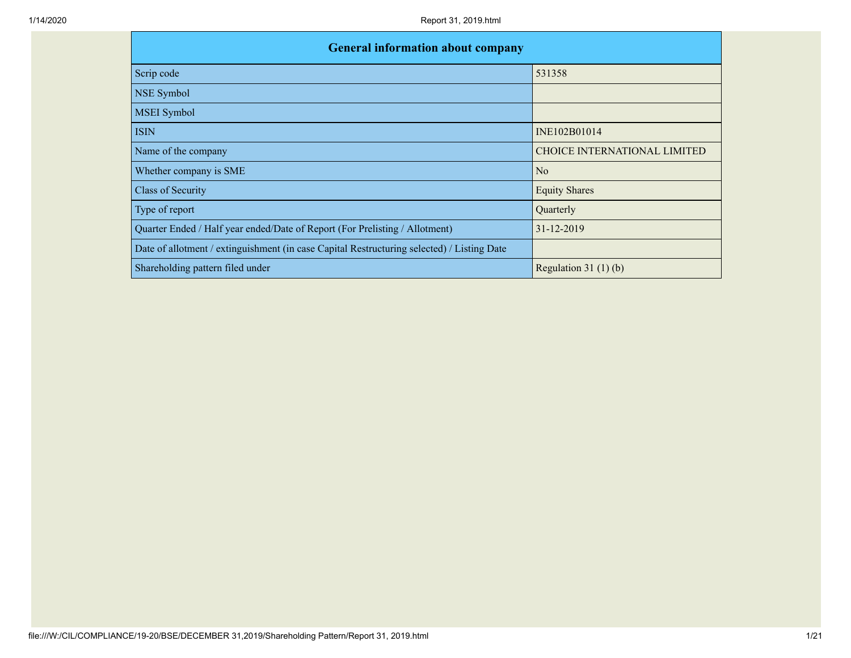| <b>General information about company</b>                                                   |                                     |
|--------------------------------------------------------------------------------------------|-------------------------------------|
| Scrip code                                                                                 | 531358                              |
| <b>NSE Symbol</b>                                                                          |                                     |
| <b>MSEI</b> Symbol                                                                         |                                     |
| <b>ISIN</b>                                                                                | INE102B01014                        |
| Name of the company                                                                        | <b>CHOICE INTERNATIONAL LIMITED</b> |
| Whether company is SME                                                                     | No                                  |
| <b>Class of Security</b>                                                                   | <b>Equity Shares</b>                |
| Type of report                                                                             | Quarterly                           |
| Quarter Ended / Half year ended/Date of Report (For Prelisting / Allotment)                | 31-12-2019                          |
| Date of allotment / extinguishment (in case Capital Restructuring selected) / Listing Date |                                     |
| Shareholding pattern filed under                                                           | Regulation $31(1)(b)$               |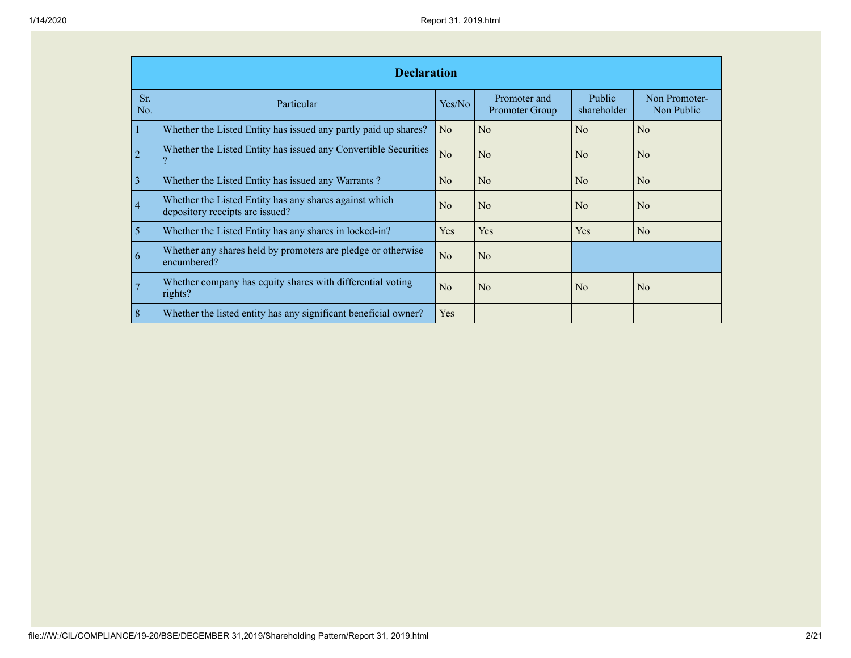|                         | <b>Declaration</b>                                                                        |                |                                |                       |                             |
|-------------------------|-------------------------------------------------------------------------------------------|----------------|--------------------------------|-----------------------|-----------------------------|
| Sr.<br>No.              | Particular                                                                                | Yes/No         | Promoter and<br>Promoter Group | Public<br>shareholder | Non Promoter-<br>Non Public |
|                         | Whether the Listed Entity has issued any partly paid up shares?                           | N <sub>o</sub> | No                             | N <sub>0</sub>        | N <sub>o</sub>              |
| $\overline{2}$          | Whether the Listed Entity has issued any Convertible Securities                           | N <sub>o</sub> | N <sub>o</sub>                 | N <sub>0</sub>        | No                          |
| $\overline{\mathbf{3}}$ | Whether the Listed Entity has issued any Warrants?                                        | No             | No                             | No                    | N <sub>o</sub>              |
| $\overline{4}$          | Whether the Listed Entity has any shares against which<br>depository receipts are issued? | No             | No                             | N <sub>0</sub>        | No                          |
| 5                       | Whether the Listed Entity has any shares in locked-in?                                    | <b>Yes</b>     | Yes                            | Yes                   | No                          |
| 6                       | Whether any shares held by promoters are pledge or otherwise<br>encumbered?               | N <sub>o</sub> | N <sub>o</sub>                 |                       |                             |
|                         | Whether company has equity shares with differential voting<br>rights?                     | No             | No                             | N <sub>0</sub>        | N <sub>o</sub>              |
| 8                       | Whether the listed entity has any significant beneficial owner?                           | <b>Yes</b>     |                                |                       |                             |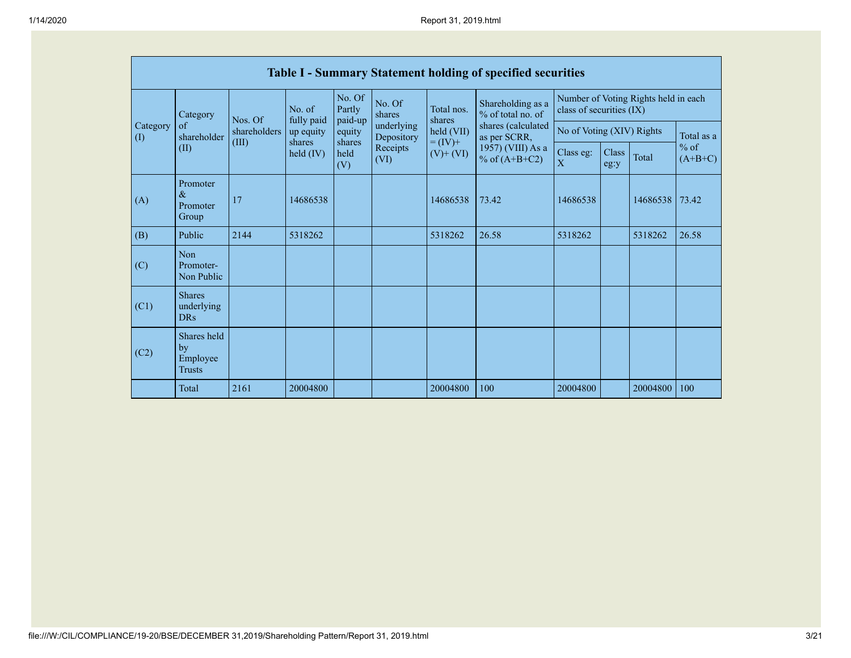|                                        |                                                |                       |                      |                             |                          |                               | <b>Table I - Summary Statement holding of specified securities</b> |                               |               |                                      |                     |
|----------------------------------------|------------------------------------------------|-----------------------|----------------------|-----------------------------|--------------------------|-------------------------------|--------------------------------------------------------------------|-------------------------------|---------------|--------------------------------------|---------------------|
|                                        | Category                                       | Nos. Of               | No. of<br>fully paid | No. Of<br>Partly<br>paid-up | No. Of<br>shares         | Total nos.<br>shares          | Shareholding as a<br>% of total no. of                             | class of securities (IX)      |               | Number of Voting Rights held in each |                     |
| Category<br>$\left( \mathrm{I}\right)$ | of<br>shareholder                              | shareholders<br>(III) | up equity<br>shares  | equity<br>shares            | underlying<br>Depository | held (VII)                    | shares (calculated<br>as per SCRR,                                 | No of Voting (XIV) Rights     |               | Total as a                           |                     |
|                                        | (II)                                           |                       | held $(IV)$          | held<br>(V)                 | Receipts<br>(VI)         | $=(IV)^{+}$<br>$(V)$ + $(VI)$ | 1957) (VIII) As a<br>% of $(A+B+C2)$                               | Class eg:<br>$\boldsymbol{X}$ | Class<br>eg:y | Total                                | $%$ of<br>$(A+B+C)$ |
| (A)                                    | Promoter<br>$\&$<br>Promoter<br>Group          | 17                    | 14686538             |                             |                          | 14686538                      | 73.42                                                              | 14686538                      |               | 14686538                             | 73.42               |
| (B)                                    | Public                                         | 2144                  | 5318262              |                             |                          | 5318262                       | 26.58                                                              | 5318262                       |               | 5318262                              | 26.58               |
| (C)                                    | Non<br>Promoter-<br>Non Public                 |                       |                      |                             |                          |                               |                                                                    |                               |               |                                      |                     |
| (C1)                                   | <b>Shares</b><br>underlying<br><b>DRs</b>      |                       |                      |                             |                          |                               |                                                                    |                               |               |                                      |                     |
| (C2)                                   | Shares held<br>by<br>Employee<br><b>Trusts</b> |                       |                      |                             |                          |                               |                                                                    |                               |               |                                      |                     |
|                                        | Total                                          | 2161                  | 20004800             |                             |                          | 20004800                      | 100                                                                | 20004800                      |               | 20004800                             | 100                 |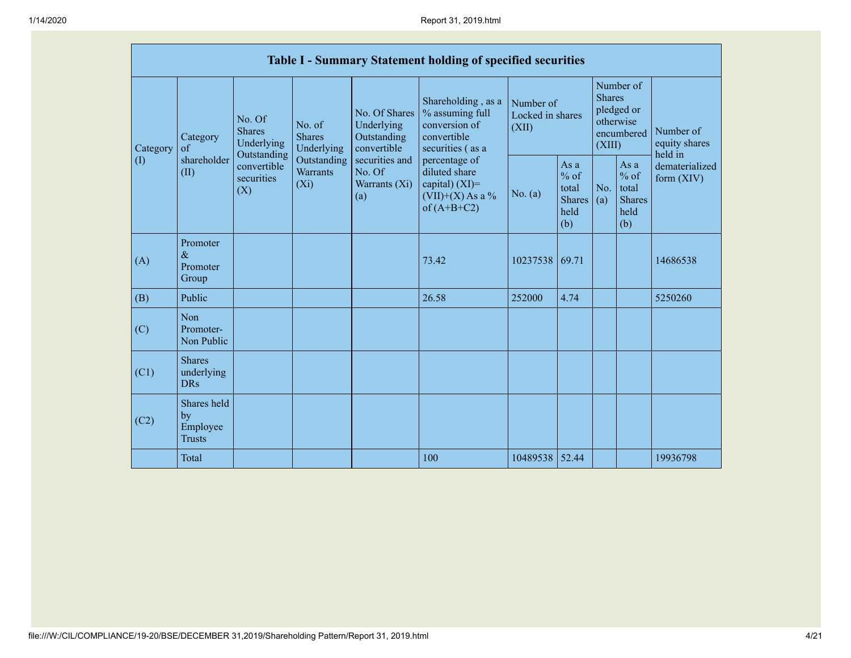|                 |                                                |                                                      |                                           |                                                                                                               | Table I - Summary Statement holding of specified securities                                |                                        |                                                           |                         |                                                           |                                       |
|-----------------|------------------------------------------------|------------------------------------------------------|-------------------------------------------|---------------------------------------------------------------------------------------------------------------|--------------------------------------------------------------------------------------------|----------------------------------------|-----------------------------------------------------------|-------------------------|-----------------------------------------------------------|---------------------------------------|
| Category<br>(1) | Category<br>$\sigma$                           | No. Of<br><b>Shares</b><br>Underlying<br>Outstanding | No. of<br><b>Shares</b><br>Underlying     | No. Of Shares<br>Underlying<br>Outstanding<br>convertible<br>securities and<br>No. Of<br>Warrants (Xi)<br>(a) | Shareholding, as a<br>% assuming full<br>conversion of<br>convertible<br>securities (as a  | Number of<br>Locked in shares<br>(XII) |                                                           | <b>Shares</b><br>(XIII) | Number of<br>pledged or<br>otherwise<br>encumbered        | Number of<br>equity shares<br>held in |
|                 | shareholder<br>(II)<br>(X)                     | convertible<br>securities                            | Outstanding<br><b>Warrants</b><br>$(X_i)$ |                                                                                                               | percentage of<br>diluted share<br>capital) $(XI)$ =<br>$(VII)+(X)$ As a %<br>of $(A+B+C2)$ | No. (a)                                | As $a$<br>$%$ of<br>total<br><b>Shares</b><br>held<br>(b) | No.<br>(a)              | As $a$<br>$%$ of<br>total<br><b>Shares</b><br>held<br>(b) | dematerialized<br>form $(XIV)$        |
| (A)             | Promoter<br>$\&$<br>Promoter<br>Group          |                                                      |                                           |                                                                                                               | 73.42                                                                                      | 10237538                               | 69.71                                                     |                         |                                                           | 14686538                              |
| (B)             | Public                                         |                                                      |                                           |                                                                                                               | 26.58                                                                                      | 252000                                 | 4.74                                                      |                         |                                                           | 5250260                               |
| (C)             | Non<br>Promoter-<br>Non Public                 |                                                      |                                           |                                                                                                               |                                                                                            |                                        |                                                           |                         |                                                           |                                       |
| (C1)            | <b>Shares</b><br>underlying<br><b>DRs</b>      |                                                      |                                           |                                                                                                               |                                                                                            |                                        |                                                           |                         |                                                           |                                       |
| (C2)            | Shares held<br>by<br>Employee<br><b>Trusts</b> |                                                      |                                           |                                                                                                               |                                                                                            |                                        |                                                           |                         |                                                           |                                       |
|                 | Total                                          |                                                      |                                           |                                                                                                               | 100                                                                                        | 10489538 52.44                         |                                                           |                         |                                                           | 19936798                              |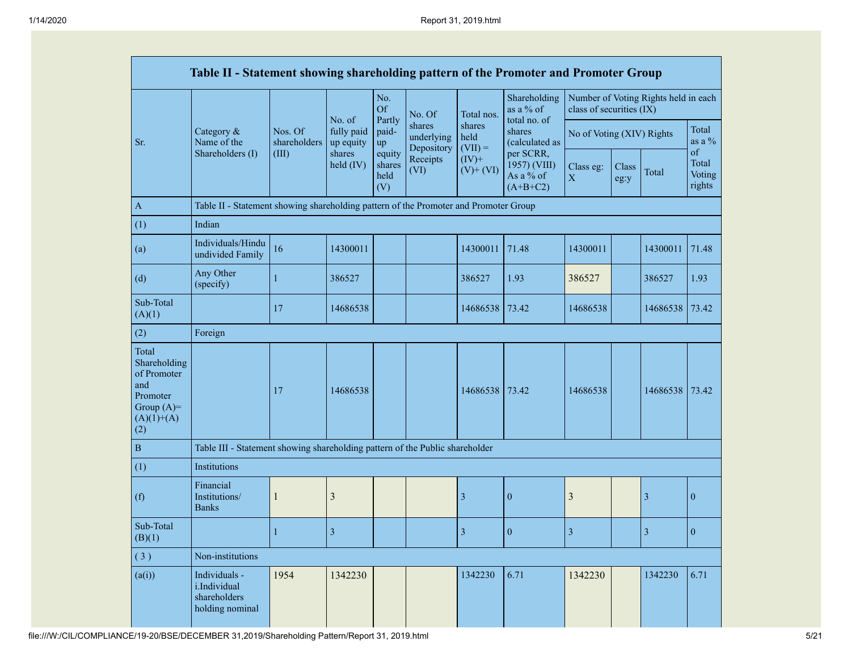|                                                                                                | Table II - Statement showing shareholding pattern of the Promoter and Promoter Group |                         |                         |                                 |                                    |                             |                                                      |                          |                           |                                      |                                 |
|------------------------------------------------------------------------------------------------|--------------------------------------------------------------------------------------|-------------------------|-------------------------|---------------------------------|------------------------------------|-----------------------------|------------------------------------------------------|--------------------------|---------------------------|--------------------------------------|---------------------------------|
|                                                                                                |                                                                                      |                         | No. of                  | No.<br>Of<br>Partly             | No. Of                             | Total nos.                  | Shareholding<br>as a % of<br>total no. of            | class of securities (IX) |                           | Number of Voting Rights held in each |                                 |
| Sr.                                                                                            | Category $\&$<br>Name of the                                                         | Nos. Of<br>shareholders | fully paid<br>up equity | paid-<br>up                     | shares<br>underlying<br>Depository | shares<br>held<br>$(VII) =$ | shares<br>(calculated as                             |                          | No of Voting (XIV) Rights |                                      | Total<br>as a $\%$              |
|                                                                                                | Shareholders (I)                                                                     | (III)                   | shares<br>held (IV)     | equity<br>shares<br>held<br>(V) | Receipts<br>(VI)                   | $(IV)$ +<br>$(V)$ + $(VI)$  | per SCRR,<br>1957) (VIII)<br>As a % of<br>$(A+B+C2)$ | Class eg:<br>X           | Class<br>eg:y             | Total                                | of<br>Total<br>Voting<br>rights |
| $\boldsymbol{\rm{A}}$                                                                          | Table II - Statement showing shareholding pattern of the Promoter and Promoter Group |                         |                         |                                 |                                    |                             |                                                      |                          |                           |                                      |                                 |
| (1)                                                                                            | Indian                                                                               |                         |                         |                                 |                                    |                             |                                                      |                          |                           |                                      |                                 |
| (a)                                                                                            | Individuals/Hindu<br>undivided Family                                                | 16                      | 14300011                |                                 |                                    | 14300011                    | 71.48                                                | 14300011                 |                           | 14300011                             | 71.48                           |
| (d)                                                                                            | Any Other<br>(specify)                                                               | $\mathbf{1}$            | 386527                  |                                 |                                    | 386527                      | 1.93                                                 | 386527                   |                           | 386527                               | 1.93                            |
| Sub-Total<br>(A)(1)                                                                            |                                                                                      | 17                      | 14686538                |                                 |                                    | 14686538                    | 73.42                                                | 14686538                 |                           | 14686538                             | 73.42                           |
| (2)                                                                                            | Foreign                                                                              |                         |                         |                                 |                                    |                             |                                                      |                          |                           |                                      |                                 |
| Total<br>Shareholding<br>of Promoter<br>and<br>Promoter<br>Group $(A)=$<br>$(A)(1)+(A)$<br>(2) |                                                                                      | 17                      | 14686538                |                                 |                                    | 14686538                    | 73.42                                                | 14686538                 |                           | 14686538                             | 73.42                           |
| $\, {\bf B}$                                                                                   | Table III - Statement showing shareholding pattern of the Public shareholder         |                         |                         |                                 |                                    |                             |                                                      |                          |                           |                                      |                                 |
| (1)                                                                                            | Institutions                                                                         |                         |                         |                                 |                                    |                             |                                                      |                          |                           |                                      |                                 |
| (f)                                                                                            | Financial<br>Institutions/<br><b>Banks</b>                                           | $\mathbf{1}$            | 3                       |                                 |                                    | 3                           | $\mathbf{0}$                                         | 3                        |                           | 3                                    | $\mathbf{0}$                    |
| Sub-Total<br>(B)(1)                                                                            |                                                                                      | 1                       | $\overline{\mathbf{3}}$ |                                 |                                    | 3                           | $\mathbf{0}$                                         | 3                        |                           | 3                                    | $\mathbf{0}$                    |
| (3)                                                                                            | Non-institutions                                                                     |                         |                         |                                 |                                    |                             |                                                      |                          |                           |                                      |                                 |
| (a(i))                                                                                         | Individuals -<br>i.Individual<br>shareholders<br>holding nominal                     | 1954                    | 1342230                 |                                 |                                    | 1342230                     | 6.71                                                 | 1342230                  |                           | 1342230                              | 6.71                            |

file:///W:/CIL/COMPLIANCE/19-20/BSE/DECEMBER 31,2019/Shareholding Pattern/Report 31, 2019.html 5/21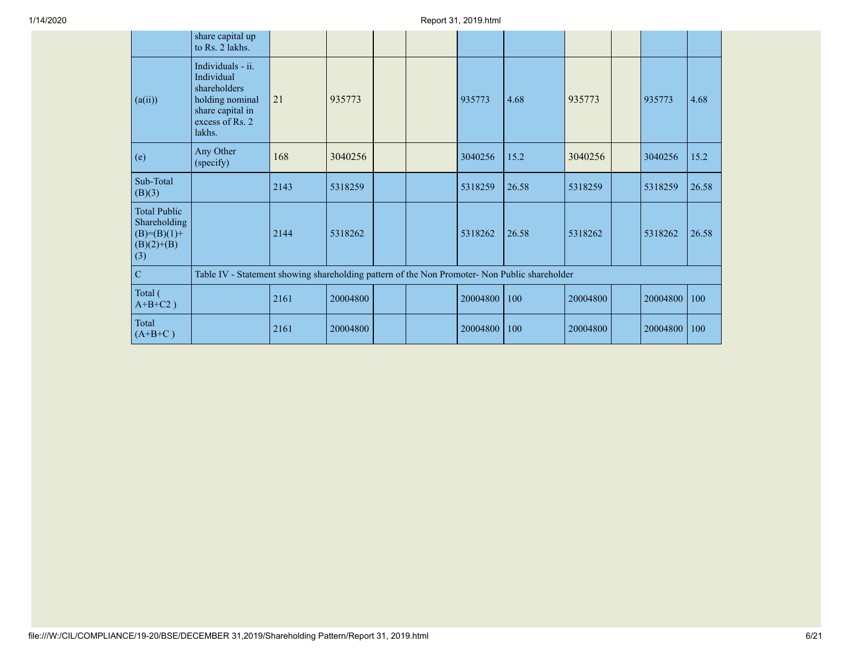|                                                                              | share capital up<br>to Rs. 2 lakhs.                                                                                 |      |          |  |          |       |          |          |       |
|------------------------------------------------------------------------------|---------------------------------------------------------------------------------------------------------------------|------|----------|--|----------|-------|----------|----------|-------|
| (a(ii))                                                                      | Individuals - ii.<br>Individual<br>shareholders<br>holding nominal<br>share capital in<br>excess of Rs. 2<br>lakhs. | 21   | 935773   |  | 935773   | 4.68  | 935773   | 935773   | 4.68  |
| (e)                                                                          | Any Other<br>(specify)                                                                                              | 168  | 3040256  |  | 3040256  | 15.2  | 3040256  | 3040256  | 15.2  |
| Sub-Total<br>(B)(3)                                                          |                                                                                                                     | 2143 | 5318259  |  | 5318259  | 26.58 | 5318259  | 5318259  | 26.58 |
| <b>Total Public</b><br>Shareholding<br>$(B)=(B)(1)$ +<br>$(B)(2)+(B)$<br>(3) |                                                                                                                     | 2144 | 5318262  |  | 5318262  | 26.58 | 5318262  | 5318262  | 26.58 |
| $\overline{C}$                                                               | Table IV - Statement showing shareholding pattern of the Non Promoter- Non Public shareholder                       |      |          |  |          |       |          |          |       |
| Total (<br>$A+B+C2$ )                                                        |                                                                                                                     | 2161 | 20004800 |  | 20004800 | 100   | 20004800 | 20004800 | 100   |
| Total<br>$(A+B+C)$                                                           |                                                                                                                     | 2161 | 20004800 |  | 20004800 | 100   | 20004800 | 20004800 | 100   |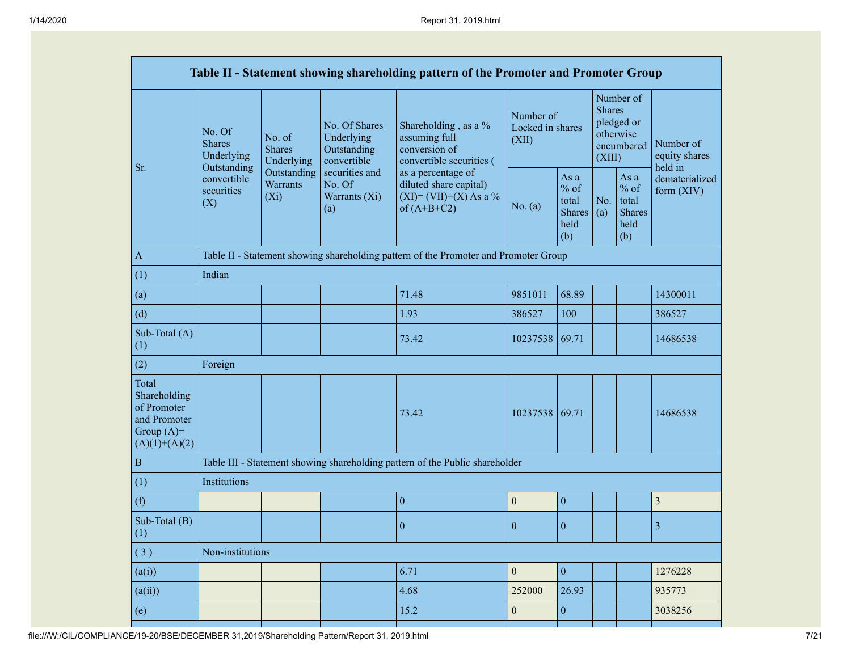|                                                                                         |                                                 |                                           |                                                           | Table II - Statement showing shareholding pattern of the Promoter and Promoter Group       |                                        |                                                         |                                                                               |                                                         |                                       |
|-----------------------------------------------------------------------------------------|-------------------------------------------------|-------------------------------------------|-----------------------------------------------------------|--------------------------------------------------------------------------------------------|----------------------------------------|---------------------------------------------------------|-------------------------------------------------------------------------------|---------------------------------------------------------|---------------------------------------|
| Sr.                                                                                     | No. Of<br><b>Shares</b><br>Underlying           | No. of<br><b>Shares</b><br>Underlying     | No. Of Shares<br>Underlying<br>Outstanding<br>convertible | Shareholding, as a %<br>assuming full<br>conversion of<br>convertible securities (         | Number of<br>Locked in shares<br>(XII) |                                                         | Number of<br><b>Shares</b><br>pledged or<br>otherwise<br>encumbered<br>(XIII) |                                                         | Number of<br>equity shares<br>held in |
|                                                                                         | Outstanding<br>convertible<br>securities<br>(X) | Outstanding<br><b>Warrants</b><br>$(X_i)$ | securities and<br>No. Of<br>Warrants (Xi)<br>(a)          | as a percentage of<br>diluted share capital)<br>$(XI) = (VII)+(X) As a %$<br>of $(A+B+C2)$ | No. (a)                                | As a<br>$%$ of<br>total<br><b>Shares</b><br>held<br>(b) | No.<br>(a)                                                                    | As a<br>$%$ of<br>total<br><b>Shares</b><br>held<br>(b) | dematerialized<br>form (XIV)          |
| $\,$ A                                                                                  |                                                 |                                           |                                                           | Table II - Statement showing shareholding pattern of the Promoter and Promoter Group       |                                        |                                                         |                                                                               |                                                         |                                       |
| (1)                                                                                     | Indian                                          |                                           |                                                           |                                                                                            |                                        |                                                         |                                                                               |                                                         |                                       |
| (a)                                                                                     |                                                 |                                           |                                                           | 71.48                                                                                      | 9851011                                | 68.89                                                   |                                                                               |                                                         | 14300011                              |
| (d)                                                                                     |                                                 |                                           |                                                           | 1.93                                                                                       | 386527                                 | 100                                                     |                                                                               |                                                         | 386527                                |
| Sub-Total (A)<br>(1)                                                                    |                                                 |                                           |                                                           | 73.42                                                                                      | 10237538                               | 69.71                                                   |                                                                               |                                                         | 14686538                              |
| (2)                                                                                     | Foreign                                         |                                           |                                                           |                                                                                            |                                        |                                                         |                                                                               |                                                         |                                       |
| Total<br>Shareholding<br>of Promoter<br>and Promoter<br>Group $(A)=$<br>$(A)(1)+(A)(2)$ |                                                 |                                           |                                                           | 73.42                                                                                      | 10237538                               | 69.71                                                   |                                                                               |                                                         | 14686538                              |
| $\,$ B                                                                                  |                                                 |                                           |                                                           | Table III - Statement showing shareholding pattern of the Public shareholder               |                                        |                                                         |                                                                               |                                                         |                                       |
| (1)                                                                                     | Institutions                                    |                                           |                                                           |                                                                                            |                                        |                                                         |                                                                               |                                                         |                                       |
| (f)                                                                                     |                                                 |                                           |                                                           | $\boldsymbol{0}$                                                                           | $\mathbf{0}$                           | $\boldsymbol{0}$                                        |                                                                               |                                                         | 3                                     |
| Sub-Total (B)<br>(1)                                                                    |                                                 |                                           |                                                           | $\mathbf{0}$                                                                               | $\overline{0}$                         | $\mathbf{0}$                                            |                                                                               |                                                         | 3                                     |
| (3)                                                                                     | Non-institutions                                |                                           |                                                           |                                                                                            |                                        |                                                         |                                                                               |                                                         |                                       |
| (a(i))                                                                                  |                                                 |                                           |                                                           | 6.71                                                                                       | $\boldsymbol{0}$                       | $\boldsymbol{0}$                                        |                                                                               |                                                         | 1276228                               |
| (a(ii))                                                                                 |                                                 |                                           |                                                           | 4.68                                                                                       | 252000                                 | 26.93                                                   |                                                                               |                                                         | 935773                                |
| (e)                                                                                     |                                                 |                                           |                                                           | 15.2                                                                                       | $\boldsymbol{0}$                       | $\boldsymbol{0}$                                        |                                                                               |                                                         | 3038256                               |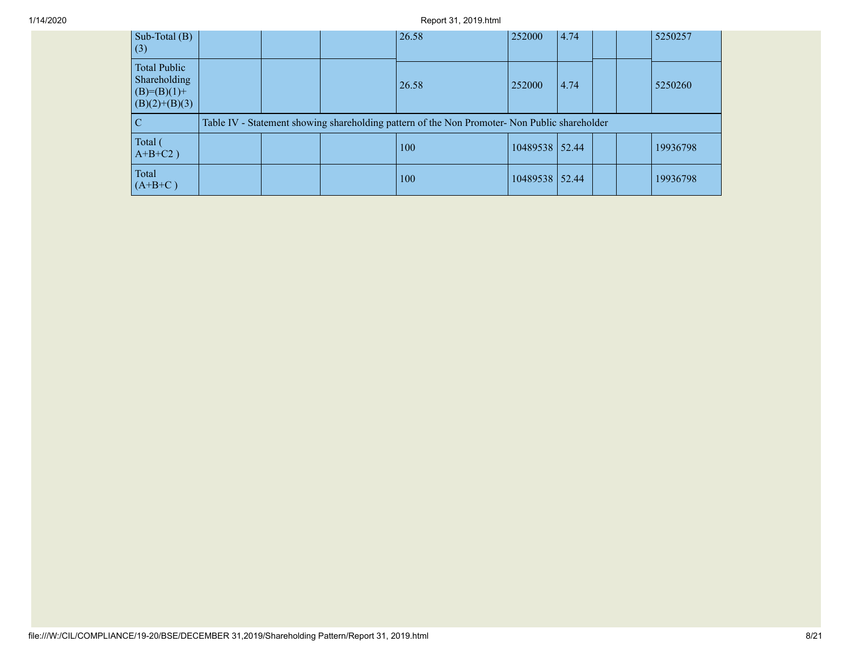## 1/14/2020 Report 31, 2019.html

| Sub-Total (B)<br>(3)                                                      |  | 26.58                                                                                         | 252000         | 4.74 |  | 5250257  |
|---------------------------------------------------------------------------|--|-----------------------------------------------------------------------------------------------|----------------|------|--|----------|
| <b>Total Public</b><br>Shareholding<br>$(B)= (B)(1) +$<br>$(B)(2)+(B)(3)$ |  | 26.58                                                                                         | 252000         | 4.74 |  | 5250260  |
| С                                                                         |  | Table IV - Statement showing shareholding pattern of the Non Promoter- Non Public shareholder |                |      |  |          |
| Total (<br>$A+B+C2$ )                                                     |  | 100                                                                                           | 10489538 52.44 |      |  | 19936798 |
| Total<br>$(A+B+C)$                                                        |  | 100                                                                                           | 10489538 52.44 |      |  | 19936798 |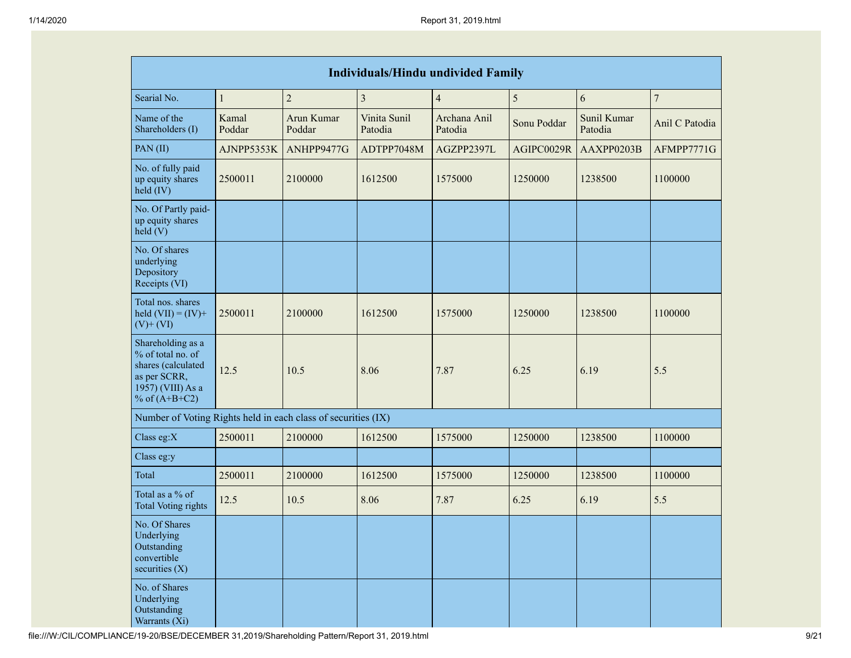| <b>Individuals/Hindu undivided Family</b>                                                                            |                 |                      |                         |                         |             |                        |                |  |  |  |  |
|----------------------------------------------------------------------------------------------------------------------|-----------------|----------------------|-------------------------|-------------------------|-------------|------------------------|----------------|--|--|--|--|
| Searial No.                                                                                                          | $\mathbf{1}$    | $\sqrt{2}$           | $\overline{3}$          | $\overline{4}$          | 5           | 6                      | $\overline{7}$ |  |  |  |  |
| Name of the<br>Shareholders (I)                                                                                      | Kamal<br>Poddar | Arun Kumar<br>Poddar | Vinita Sunil<br>Patodia | Archana Anil<br>Patodia | Sonu Poddar | Sunil Kumar<br>Patodia | Anil C Patodia |  |  |  |  |
| PAN(II)                                                                                                              | AJNPP5353K      | ANHPP9477G           | ADTPP7048M              | AGZPP2397L              | AGIPC0029R  | AAXPP0203B             | AFMPP7771G     |  |  |  |  |
| No. of fully paid<br>up equity shares<br>$\text{held (IV)}$                                                          | 2500011         | 2100000              | 1612500                 | 1575000                 | 1250000     | 1238500                | 1100000        |  |  |  |  |
| No. Of Partly paid-<br>up equity shares<br>$\text{held}$ (V)                                                         |                 |                      |                         |                         |             |                        |                |  |  |  |  |
| No. Of shares<br>underlying<br>Depository<br>Receipts (VI)                                                           |                 |                      |                         |                         |             |                        |                |  |  |  |  |
| Total nos. shares<br>held $(VII) = (IV) +$<br>$(V)$ + $(VI)$                                                         | 2500011         | 2100000              | 1612500                 | 1575000                 | 1250000     | 1238500                | 1100000        |  |  |  |  |
| Shareholding as a<br>% of total no. of<br>shares (calculated<br>as per SCRR,<br>1957) (VIII) As a<br>% of $(A+B+C2)$ | 12.5            | 10.5                 | 8.06                    | 7.87                    | 6.25        | 6.19                   | 5.5            |  |  |  |  |
| Number of Voting Rights held in each class of securities (IX)                                                        |                 |                      |                         |                         |             |                        |                |  |  |  |  |
| Class eg:X                                                                                                           | 2500011         | 2100000              | 1612500                 | 1575000                 | 1250000     | 1238500                | 1100000        |  |  |  |  |
| Class eg:y                                                                                                           |                 |                      |                         |                         |             |                        |                |  |  |  |  |
| Total                                                                                                                | 2500011         | 2100000              | 1612500                 | 1575000                 | 1250000     | 1238500                | 1100000        |  |  |  |  |
| Total as a % of<br><b>Total Voting rights</b>                                                                        | 12.5            | 10.5                 | 8.06                    | 7.87                    | 6.25        | 6.19                   | 5.5            |  |  |  |  |
| No. Of Shares<br>Underlying<br>Outstanding<br>convertible<br>securities $(X)$                                        |                 |                      |                         |                         |             |                        |                |  |  |  |  |
| No. of Shares<br>Underlying<br>Outstanding<br>Warrants (Xi)                                                          |                 |                      |                         |                         |             |                        |                |  |  |  |  |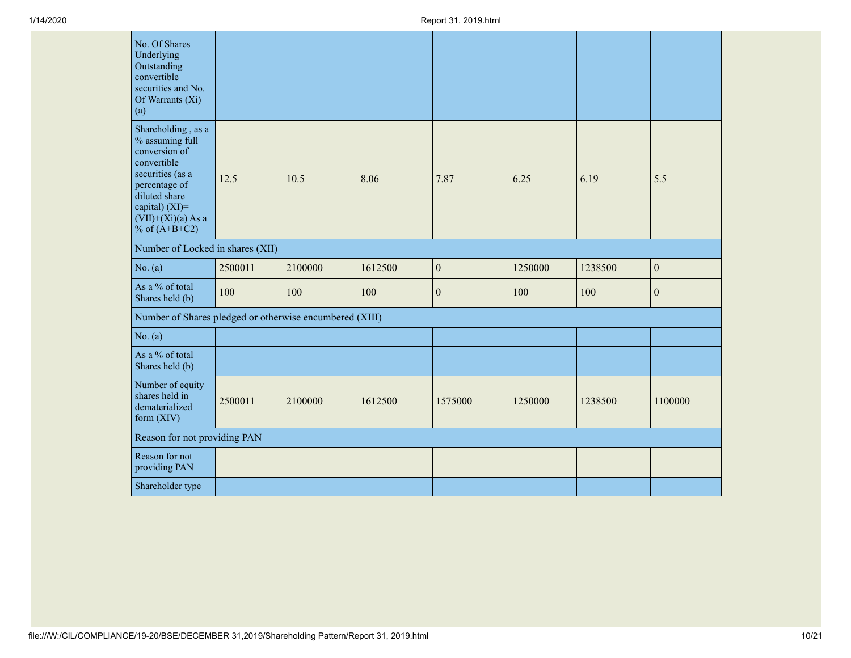| No. Of Shares<br>Underlying<br>Outstanding<br>convertible<br>securities and No.<br>Of Warrants (Xi)<br>(a)                                                                                  |         |         |         |                  |         |         |                  |
|---------------------------------------------------------------------------------------------------------------------------------------------------------------------------------------------|---------|---------|---------|------------------|---------|---------|------------------|
| Shareholding, as a<br>% assuming full<br>conversion of<br>convertible<br>securities (as a<br>percentage of<br>diluted share<br>capital) $(XI)$ =<br>$(VII)+(Xi)(a)$ As a<br>% of $(A+B+C2)$ | 12.5    | 10.5    | 8.06    | 7.87             | 6.25    | 6.19    | 5.5              |
| Number of Locked in shares (XII)                                                                                                                                                            |         |         |         |                  |         |         |                  |
| No. $(a)$                                                                                                                                                                                   | 2500011 | 2100000 | 1612500 | $\boldsymbol{0}$ | 1250000 | 1238500 | $\boldsymbol{0}$ |
| As a % of total<br>Shares held (b)                                                                                                                                                          | 100     | 100     | 100     | $\mathbf{0}$     | 100     | 100     | $\boldsymbol{0}$ |
| Number of Shares pledged or otherwise encumbered (XIII)                                                                                                                                     |         |         |         |                  |         |         |                  |
| No. $(a)$                                                                                                                                                                                   |         |         |         |                  |         |         |                  |
| As a % of total<br>Shares held (b)                                                                                                                                                          |         |         |         |                  |         |         |                  |
| Number of equity<br>shares held in<br>dematerialized<br>form (XIV)                                                                                                                          | 2500011 | 2100000 | 1612500 | 1575000          | 1250000 | 1238500 | 1100000          |
| Reason for not providing PAN                                                                                                                                                                |         |         |         |                  |         |         |                  |
| Reason for not<br>providing PAN                                                                                                                                                             |         |         |         |                  |         |         |                  |
| Shareholder type                                                                                                                                                                            |         |         |         |                  |         |         |                  |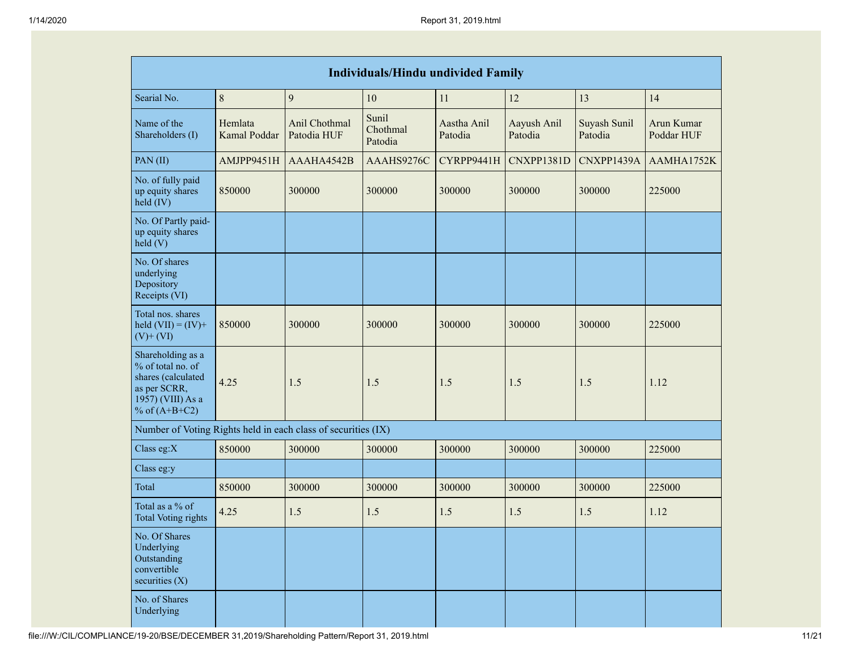|                                                                                                                      | <b>Individuals/Hindu undivided Family</b> |                              |                              |                        |                        |                         |                          |  |  |  |  |  |
|----------------------------------------------------------------------------------------------------------------------|-------------------------------------------|------------------------------|------------------------------|------------------------|------------------------|-------------------------|--------------------------|--|--|--|--|--|
| Searial No.                                                                                                          | 8                                         | 9                            | 10                           | 11                     | 12                     | 13                      | 14                       |  |  |  |  |  |
| Name of the<br>Shareholders (I)                                                                                      | Hemlata<br>Kamal Poddar                   | Anil Chothmal<br>Patodia HUF | Sunil<br>Chothmal<br>Patodia | Aastha Anil<br>Patodia | Aayush Anil<br>Patodia | Suyash Sunil<br>Patodia | Arun Kumar<br>Poddar HUF |  |  |  |  |  |
| PAN(II)                                                                                                              | AMJPP9451H                                | AAAHA4542B                   | AAAHS9276C                   | CYRPP9441H             | CNXPP1381D             | CNXPP1439A              | AAMHA1752K               |  |  |  |  |  |
| No. of fully paid<br>up equity shares<br>held (IV)                                                                   | 850000                                    | 300000                       | 300000                       | 300000                 | 300000                 | 300000                  | 225000                   |  |  |  |  |  |
| No. Of Partly paid-<br>up equity shares<br>$\text{held}$ (V)                                                         |                                           |                              |                              |                        |                        |                         |                          |  |  |  |  |  |
| No. Of shares<br>underlying<br>Depository<br>Receipts (VI)                                                           |                                           |                              |                              |                        |                        |                         |                          |  |  |  |  |  |
| Total nos. shares<br>held $(VII) = (IV) +$<br>$(V)$ + $(VI)$                                                         | 850000                                    | 300000                       | 300000                       | 300000                 | 300000                 | 300000                  | 225000                   |  |  |  |  |  |
| Shareholding as a<br>% of total no. of<br>shares (calculated<br>as per SCRR,<br>1957) (VIII) As a<br>% of $(A+B+C2)$ | 4.25                                      | 1.5                          | 1.5                          | 1.5                    | 1.5                    | 1.5                     | 1.12                     |  |  |  |  |  |
| Number of Voting Rights held in each class of securities (IX)                                                        |                                           |                              |                              |                        |                        |                         |                          |  |  |  |  |  |
| Class eg: $X$                                                                                                        | 850000                                    | 300000                       | 300000                       | 300000                 | 300000                 | 300000                  | 225000                   |  |  |  |  |  |
| Class eg:y                                                                                                           |                                           |                              |                              |                        |                        |                         |                          |  |  |  |  |  |
| Total                                                                                                                | 850000                                    | 300000                       | 300000                       | 300000                 | 300000                 | 300000                  | 225000                   |  |  |  |  |  |
| Total as a % of<br><b>Total Voting rights</b>                                                                        | 4.25                                      | 1.5                          | 1.5                          | 1.5                    | 1.5                    | 1.5                     | 1.12                     |  |  |  |  |  |
| No. Of Shares<br>Underlying<br>Outstanding<br>convertible<br>securities $(X)$                                        |                                           |                              |                              |                        |                        |                         |                          |  |  |  |  |  |
| No. of Shares<br>Underlying                                                                                          |                                           |                              |                              |                        |                        |                         |                          |  |  |  |  |  |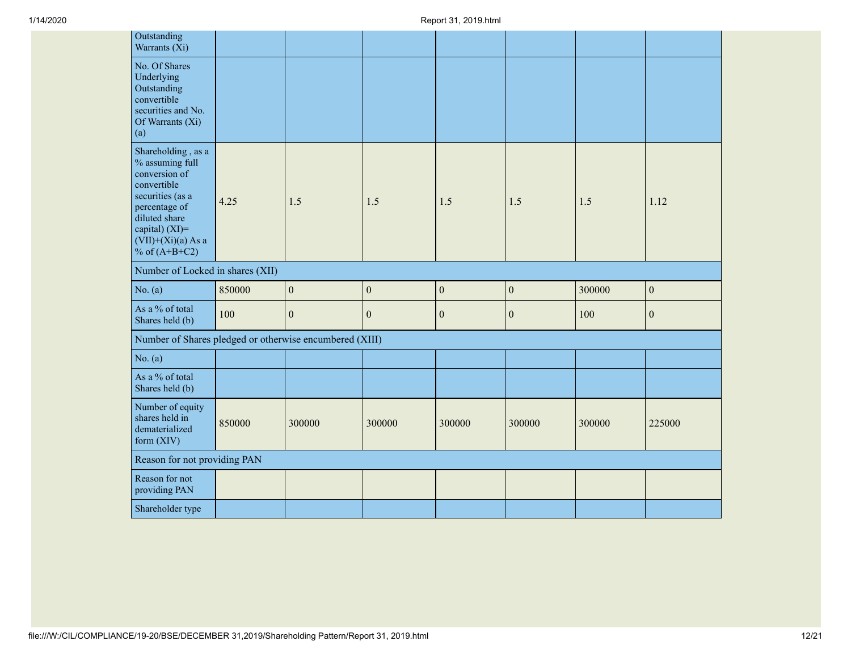| Outstanding<br>Warrants (Xi)                                                                                                                                                                |        |                  |                  |                  |                  |        |                  |
|---------------------------------------------------------------------------------------------------------------------------------------------------------------------------------------------|--------|------------------|------------------|------------------|------------------|--------|------------------|
| No. Of Shares<br>Underlying<br>Outstanding<br>convertible<br>securities and No.<br>Of Warrants (Xi)<br>(a)                                                                                  |        |                  |                  |                  |                  |        |                  |
| Shareholding, as a<br>% assuming full<br>conversion of<br>convertible<br>securities (as a<br>percentage of<br>diluted share<br>capital) $(XI)$ =<br>$(VII)+(Xi)(a)$ As a<br>% of $(A+B+C2)$ | 4.25   | 1.5              | 1.5              | 1.5              | 1.5              | 1.5    | 1.12             |
| Number of Locked in shares (XII)                                                                                                                                                            |        |                  |                  |                  |                  |        |                  |
| No. $(a)$                                                                                                                                                                                   | 850000 | $\boldsymbol{0}$ | $\boldsymbol{0}$ | $\boldsymbol{0}$ | $\boldsymbol{0}$ | 300000 | $\boldsymbol{0}$ |
| As a % of total<br>Shares held (b)                                                                                                                                                          | 100    | $\boldsymbol{0}$ | $\boldsymbol{0}$ | $\boldsymbol{0}$ | $\boldsymbol{0}$ | 100    | $\boldsymbol{0}$ |
| Number of Shares pledged or otherwise encumbered (XIII)                                                                                                                                     |        |                  |                  |                  |                  |        |                  |
| No. $(a)$                                                                                                                                                                                   |        |                  |                  |                  |                  |        |                  |
| As a % of total<br>Shares held (b)                                                                                                                                                          |        |                  |                  |                  |                  |        |                  |
| Number of equity                                                                                                                                                                            |        |                  |                  |                  |                  |        |                  |
| shares held in<br>dematerialized<br>form (XIV)                                                                                                                                              | 850000 | 300000           | 300000           | 300000           | 300000           | 300000 | 225000           |
| Reason for not providing PAN                                                                                                                                                                |        |                  |                  |                  |                  |        |                  |
| Reason for not<br>providing PAN                                                                                                                                                             |        |                  |                  |                  |                  |        |                  |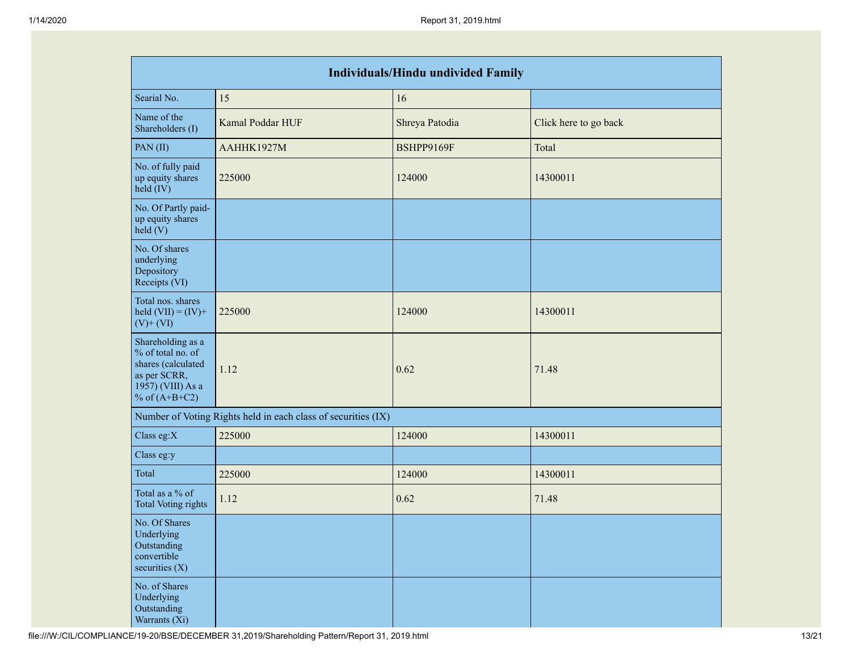| <b>Individuals/Hindu undivided Family</b>                                                                            |                                                               |                |                       |  |  |  |  |  |  |
|----------------------------------------------------------------------------------------------------------------------|---------------------------------------------------------------|----------------|-----------------------|--|--|--|--|--|--|
| Searial No.                                                                                                          | 15                                                            | 16             |                       |  |  |  |  |  |  |
| Name of the<br>Shareholders (I)                                                                                      | Kamal Poddar HUF                                              | Shreya Patodia | Click here to go back |  |  |  |  |  |  |
| PAN(II)                                                                                                              | AAHHK1927M                                                    | BSHPP9169F     | Total                 |  |  |  |  |  |  |
| No. of fully paid<br>up equity shares<br>held (IV)                                                                   | 225000                                                        | 124000         | 14300011              |  |  |  |  |  |  |
| No. Of Partly paid-<br>up equity shares<br>held(V)                                                                   |                                                               |                |                       |  |  |  |  |  |  |
| No. Of shares<br>underlying<br>Depository<br>Receipts (VI)                                                           |                                                               |                |                       |  |  |  |  |  |  |
| Total nos. shares<br>held $(VII) = (IV) +$<br>$(V)$ + $(VI)$                                                         | 225000                                                        | 124000         | 14300011              |  |  |  |  |  |  |
| Shareholding as a<br>% of total no. of<br>shares (calculated<br>as per SCRR,<br>1957) (VIII) As a<br>% of $(A+B+C2)$ | 1.12                                                          | 0.62           | 71.48                 |  |  |  |  |  |  |
|                                                                                                                      | Number of Voting Rights held in each class of securities (IX) |                |                       |  |  |  |  |  |  |
| Class eg:X                                                                                                           | 225000                                                        | 124000         | 14300011              |  |  |  |  |  |  |
| Class eg:y                                                                                                           |                                                               |                |                       |  |  |  |  |  |  |
| Total                                                                                                                | 225000                                                        | 124000         | 14300011              |  |  |  |  |  |  |
| Total as a % of<br><b>Total Voting rights</b>                                                                        | 1.12                                                          | 0.62           | 71.48                 |  |  |  |  |  |  |
| No. Of Shares<br>Underlying<br>Outstanding<br>convertible<br>securities $(X)$                                        |                                                               |                |                       |  |  |  |  |  |  |
| No. of Shares<br>Underlying<br>Outstanding<br>Warrants (Xi)                                                          |                                                               |                |                       |  |  |  |  |  |  |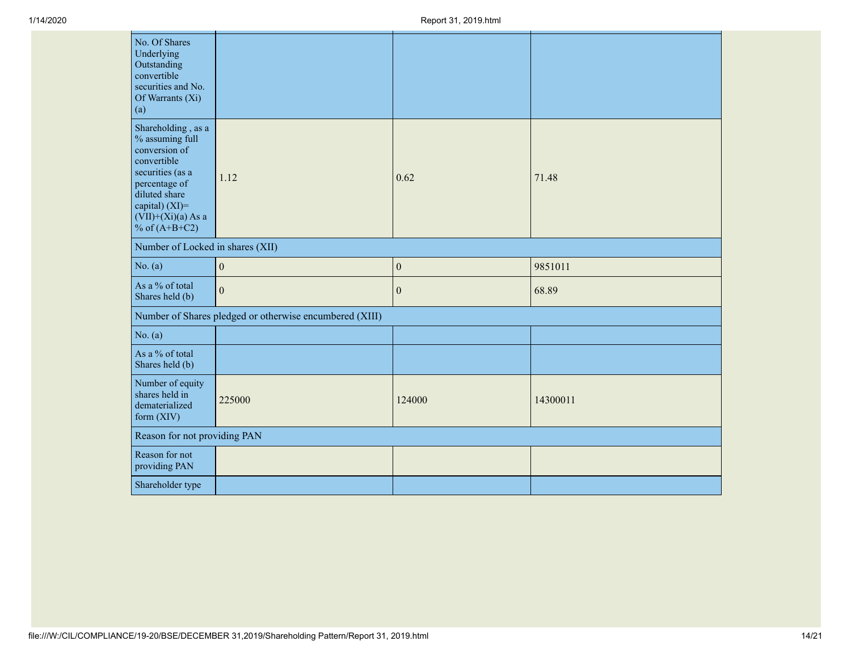| No. Of Shares<br>Underlying<br>Outstanding<br>convertible<br>securities and No.<br>Of Warrants (Xi)<br>(a)                                                                               |                                                         |                  |          |
|------------------------------------------------------------------------------------------------------------------------------------------------------------------------------------------|---------------------------------------------------------|------------------|----------|
| Shareholding, as a<br>% assuming full<br>conversion of<br>convertible<br>securities (as a<br>percentage of<br>diluted share<br>capital) (XI)=<br>$(VII)+(Xi)(a)$ As a<br>% of $(A+B+C2)$ | 1.12                                                    | 0.62             | 71.48    |
| Number of Locked in shares (XII)                                                                                                                                                         |                                                         |                  |          |
| No. $(a)$                                                                                                                                                                                | $\boldsymbol{0}$                                        | $\boldsymbol{0}$ | 9851011  |
| As a % of total<br>Shares held (b)                                                                                                                                                       | $\mathbf{0}$                                            | $\boldsymbol{0}$ | 68.89    |
|                                                                                                                                                                                          | Number of Shares pledged or otherwise encumbered (XIII) |                  |          |
| No. $(a)$                                                                                                                                                                                |                                                         |                  |          |
| As a % of total<br>Shares held (b)                                                                                                                                                       |                                                         |                  |          |
| Number of equity<br>shares held in<br>dematerialized<br>form (XIV)                                                                                                                       | 225000                                                  | 124000           | 14300011 |
| Reason for not providing PAN                                                                                                                                                             |                                                         |                  |          |
| Reason for not<br>providing PAN                                                                                                                                                          |                                                         |                  |          |
| Shareholder type                                                                                                                                                                         |                                                         |                  |          |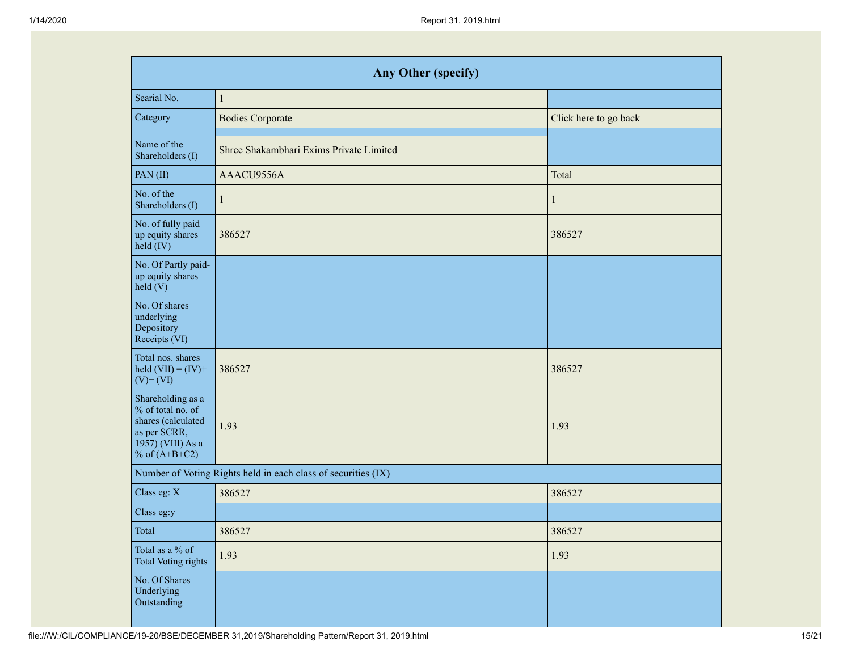| <b>Any Other (specify)</b>                                                                                           |                                                               |                       |  |  |  |  |  |  |  |
|----------------------------------------------------------------------------------------------------------------------|---------------------------------------------------------------|-----------------------|--|--|--|--|--|--|--|
| Searial No.                                                                                                          | $\mathbf{1}$                                                  |                       |  |  |  |  |  |  |  |
| Category                                                                                                             | <b>Bodies Corporate</b>                                       | Click here to go back |  |  |  |  |  |  |  |
| Name of the<br>Shareholders (I)                                                                                      | Shree Shakambhari Exims Private Limited                       |                       |  |  |  |  |  |  |  |
| PAN(II)                                                                                                              | AAACU9556A                                                    | Total                 |  |  |  |  |  |  |  |
| No. of the<br>Shareholders (I)                                                                                       | 1                                                             | 1                     |  |  |  |  |  |  |  |
| No. of fully paid<br>up equity shares<br>held (IV)                                                                   | 386527                                                        | 386527                |  |  |  |  |  |  |  |
| No. Of Partly paid-<br>up equity shares<br>held(V)                                                                   |                                                               |                       |  |  |  |  |  |  |  |
| No. Of shares<br>underlying<br>Depository<br>Receipts (VI)                                                           |                                                               |                       |  |  |  |  |  |  |  |
| Total nos. shares<br>held $(VII) = (IV) +$<br>$(V)$ + $(VI)$                                                         | 386527                                                        | 386527                |  |  |  |  |  |  |  |
| Shareholding as a<br>% of total no. of<br>shares (calculated<br>as per SCRR,<br>1957) (VIII) As a<br>% of $(A+B+C2)$ | 1.93                                                          | 1.93                  |  |  |  |  |  |  |  |
|                                                                                                                      | Number of Voting Rights held in each class of securities (IX) |                       |  |  |  |  |  |  |  |
| Class eg: X                                                                                                          | 386527                                                        | 386527                |  |  |  |  |  |  |  |
| Class eg:y                                                                                                           |                                                               |                       |  |  |  |  |  |  |  |
| Total                                                                                                                | 386527                                                        | 386527                |  |  |  |  |  |  |  |
| Total as a % of<br><b>Total Voting rights</b>                                                                        | 1.93                                                          | 1.93                  |  |  |  |  |  |  |  |
| No. Of Shares<br>Underlying<br>Outstanding                                                                           |                                                               |                       |  |  |  |  |  |  |  |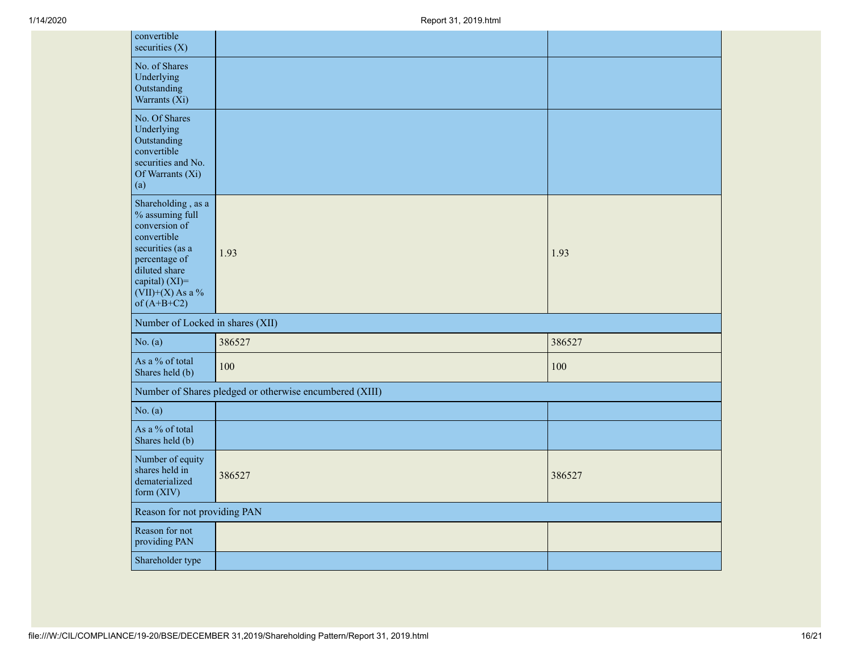| convertible<br>securities $(X)$                                                                                                                                                      |                                                         |        |
|--------------------------------------------------------------------------------------------------------------------------------------------------------------------------------------|---------------------------------------------------------|--------|
| No. of Shares<br>Underlying<br>Outstanding<br>Warrants (Xi)                                                                                                                          |                                                         |        |
| No. Of Shares<br>Underlying<br>Outstanding<br>convertible<br>securities and No.<br>Of Warrants (Xi)<br>(a)                                                                           |                                                         |        |
| Shareholding, as a<br>% assuming full<br>conversion of<br>convertible<br>securities (as a<br>percentage of<br>diluted share<br>capital) (XI)=<br>$(VII)+(X)$ As a %<br>of $(A+B+C2)$ | 1.93                                                    | 1.93   |
| Number of Locked in shares (XII)                                                                                                                                                     |                                                         |        |
| No. $(a)$                                                                                                                                                                            | 386527                                                  | 386527 |
| As a % of total<br>Shares held (b)                                                                                                                                                   | 100                                                     | 100    |
|                                                                                                                                                                                      | Number of Shares pledged or otherwise encumbered (XIII) |        |
| No. $(a)$                                                                                                                                                                            |                                                         |        |
| As a % of total<br>Shares held (b)                                                                                                                                                   |                                                         |        |
| Number of equity<br>shares held in<br>dematerialized<br>form (XIV)                                                                                                                   | 386527                                                  | 386527 |
| Reason for not providing PAN                                                                                                                                                         |                                                         |        |
|                                                                                                                                                                                      |                                                         |        |
| Reason for not<br>providing PAN                                                                                                                                                      |                                                         |        |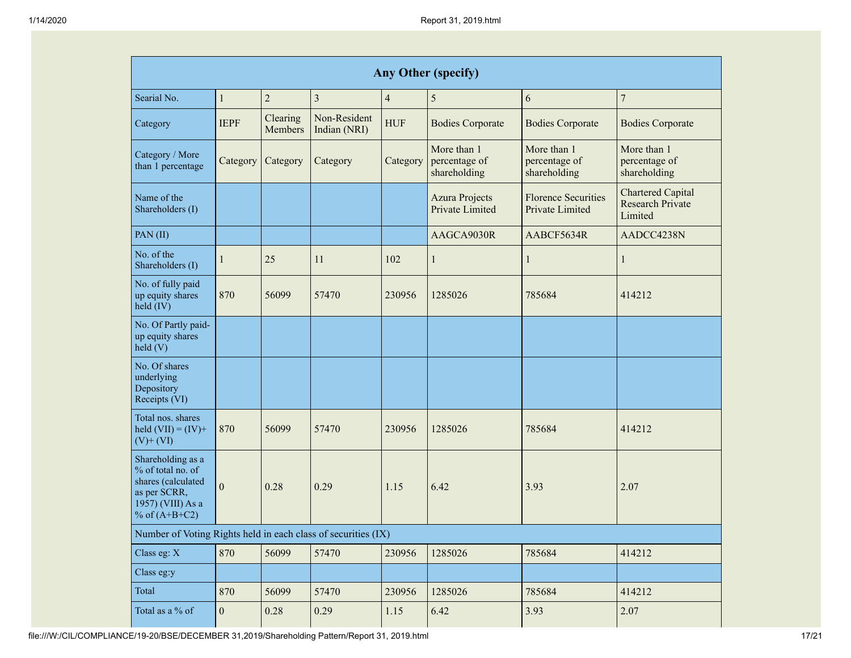| <b>Any Other (specify)</b>                                                                                           |                |                     |                              |                |                                              |                                               |                                                                |  |  |
|----------------------------------------------------------------------------------------------------------------------|----------------|---------------------|------------------------------|----------------|----------------------------------------------|-----------------------------------------------|----------------------------------------------------------------|--|--|
| Searial No.                                                                                                          | $\mathbf{1}$   | $\overline{c}$      | $\overline{3}$               | $\overline{4}$ | 5                                            | 6                                             | $\overline{7}$                                                 |  |  |
| Category                                                                                                             | <b>IEPF</b>    | Clearing<br>Members | Non-Resident<br>Indian (NRI) | <b>HUF</b>     | <b>Bodies Corporate</b>                      | <b>Bodies Corporate</b>                       | <b>Bodies Corporate</b>                                        |  |  |
| Category / More<br>than 1 percentage                                                                                 | Category       | Category            | Category                     | Category       | More than 1<br>percentage of<br>shareholding | More than 1<br>percentage of<br>shareholding  | More than 1<br>percentage of<br>shareholding                   |  |  |
| Name of the<br>Shareholders (I)                                                                                      |                |                     |                              |                | <b>Azura Projects</b><br>Private Limited     | <b>Florence Securities</b><br>Private Limited | <b>Chartered Capital</b><br><b>Research Private</b><br>Limited |  |  |
| PAN(II)                                                                                                              |                |                     |                              |                | AAGCA9030R                                   | AABCF5634R                                    | AADCC4238N                                                     |  |  |
| No. of the<br>Shareholders (I)                                                                                       | 1              | 25                  | 11                           | 102            | 1                                            | $\mathbf{1}$                                  | 1                                                              |  |  |
| No. of fully paid<br>up equity shares<br>held (IV)                                                                   | 870            | 56099               | 57470                        | 230956         | 1285026                                      | 785684                                        | 414212                                                         |  |  |
| No. Of Partly paid-<br>up equity shares<br>held(V)                                                                   |                |                     |                              |                |                                              |                                               |                                                                |  |  |
| No. Of shares<br>underlying<br>Depository<br>Receipts (VI)                                                           |                |                     |                              |                |                                              |                                               |                                                                |  |  |
| Total nos. shares<br>held $(VII) = (IV) +$<br>$(V)$ + $(VI)$                                                         | 870            | 56099               | 57470                        | 230956         | 1285026                                      | 785684                                        | 414212                                                         |  |  |
| Shareholding as a<br>% of total no. of<br>shares (calculated<br>as per SCRR,<br>1957) (VIII) As a<br>% of $(A+B+C2)$ | $\theta$       | 0.28                | 0.29                         | 1.15           | 6.42                                         | 3.93                                          | 2.07                                                           |  |  |
| Number of Voting Rights held in each class of securities (IX)                                                        |                |                     |                              |                |                                              |                                               |                                                                |  |  |
| Class eg: X                                                                                                          | 870            | 56099               | 57470                        | 230956         | 1285026                                      | 785684                                        | 414212                                                         |  |  |
| Class eg:y                                                                                                           |                |                     |                              |                |                                              |                                               |                                                                |  |  |
| Total                                                                                                                | 870            | 56099               | 57470                        | 230956         | 1285026                                      | 785684                                        | 414212                                                         |  |  |
| Total as a % of                                                                                                      | $\overline{0}$ | 0.28                | 0.29                         | 1.15           | 6.42                                         | 3.93                                          | 2.07                                                           |  |  |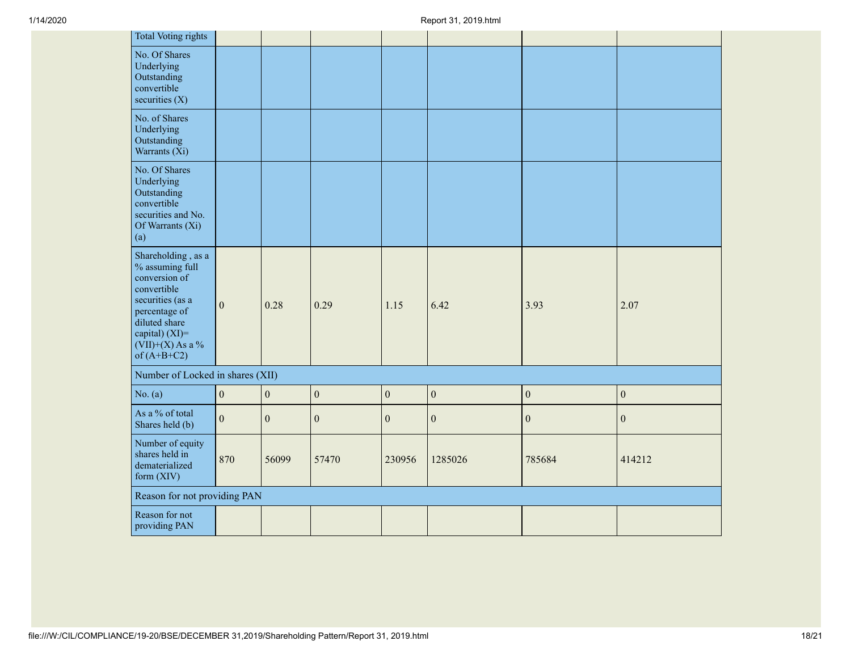| <b>Total Voting rights</b>                                                                                                                                                           |                  |                  |                  |                  |                  |                  |                  |
|--------------------------------------------------------------------------------------------------------------------------------------------------------------------------------------|------------------|------------------|------------------|------------------|------------------|------------------|------------------|
| No. Of Shares<br>Underlying<br>Outstanding<br>convertible<br>securities $(X)$                                                                                                        |                  |                  |                  |                  |                  |                  |                  |
| No. of Shares<br>Underlying<br>Outstanding<br>Warrants (Xi)                                                                                                                          |                  |                  |                  |                  |                  |                  |                  |
| No. Of Shares<br>Underlying<br>Outstanding<br>convertible<br>securities and No.<br>Of Warrants (Xi)<br>(a)                                                                           |                  |                  |                  |                  |                  |                  |                  |
| Shareholding, as a<br>% assuming full<br>conversion of<br>convertible<br>securities (as a<br>percentage of<br>diluted share<br>capital) (XI)=<br>$(VII)+(X)$ As a %<br>of $(A+B+C2)$ | $\boldsymbol{0}$ | 0.28             | 0.29             | 1.15             | 6.42             | 3.93             | 2.07             |
| Number of Locked in shares (XII)                                                                                                                                                     |                  |                  |                  |                  |                  |                  |                  |
| No. $(a)$                                                                                                                                                                            | $\boldsymbol{0}$ | $\boldsymbol{0}$ | $\boldsymbol{0}$ | $\boldsymbol{0}$ | $\boldsymbol{0}$ | $\boldsymbol{0}$ | $\boldsymbol{0}$ |
| As a % of total<br>Shares held (b)                                                                                                                                                   | $\mathbf{0}$     | $\mathbf{0}$     | $\mathbf{0}$     | $\mathbf{0}$     | $\boldsymbol{0}$ | $\boldsymbol{0}$ | $\boldsymbol{0}$ |
| Number of equity<br>shares held in<br>dematerialized<br>form $(XIV)$                                                                                                                 | 870              | 56099            | 57470            | 230956           | 1285026          | 785684           | 414212           |
| Reason for not providing PAN                                                                                                                                                         |                  |                  |                  |                  |                  |                  |                  |
| Reason for not<br>providing PAN                                                                                                                                                      |                  |                  |                  |                  |                  |                  |                  |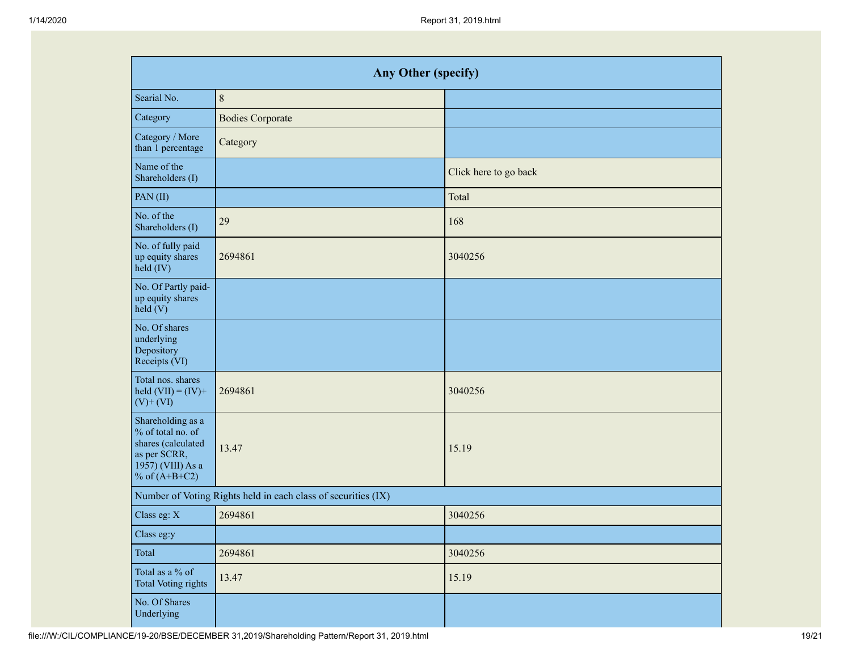| <b>Any Other (specify)</b>                                                                                           |                                                               |                       |  |  |  |  |  |  |  |
|----------------------------------------------------------------------------------------------------------------------|---------------------------------------------------------------|-----------------------|--|--|--|--|--|--|--|
| Searial No.                                                                                                          | $\,8\,$                                                       |                       |  |  |  |  |  |  |  |
| Category                                                                                                             | <b>Bodies Corporate</b>                                       |                       |  |  |  |  |  |  |  |
| Category / More<br>than 1 percentage                                                                                 | Category                                                      |                       |  |  |  |  |  |  |  |
| Name of the<br>Shareholders (I)                                                                                      |                                                               | Click here to go back |  |  |  |  |  |  |  |
| PAN(II)                                                                                                              |                                                               | Total                 |  |  |  |  |  |  |  |
| No. of the<br>Shareholders (I)                                                                                       | 29                                                            | 168                   |  |  |  |  |  |  |  |
| No. of fully paid<br>up equity shares<br>$held$ (IV)                                                                 | 2694861                                                       | 3040256               |  |  |  |  |  |  |  |
| No. Of Partly paid-<br>up equity shares<br>held $(V)$                                                                |                                                               |                       |  |  |  |  |  |  |  |
| No. Of shares<br>underlying<br>Depository<br>Receipts (VI)                                                           |                                                               |                       |  |  |  |  |  |  |  |
| Total nos. shares<br>held $(VII) = (IV) +$<br>$(V)$ + $(VI)$                                                         | 2694861                                                       | 3040256               |  |  |  |  |  |  |  |
| Shareholding as a<br>% of total no. of<br>shares (calculated<br>as per SCRR,<br>1957) (VIII) As a<br>% of $(A+B+C2)$ | 13.47                                                         | 15.19                 |  |  |  |  |  |  |  |
|                                                                                                                      | Number of Voting Rights held in each class of securities (IX) |                       |  |  |  |  |  |  |  |
| Class eg: X                                                                                                          | 2694861                                                       | 3040256               |  |  |  |  |  |  |  |
| Class eg:y                                                                                                           |                                                               |                       |  |  |  |  |  |  |  |
| Total                                                                                                                | 2694861                                                       | 3040256               |  |  |  |  |  |  |  |
| Total as a % of<br><b>Total Voting rights</b>                                                                        | 13.47                                                         | 15.19                 |  |  |  |  |  |  |  |
| No. Of Shares<br>Underlying                                                                                          |                                                               |                       |  |  |  |  |  |  |  |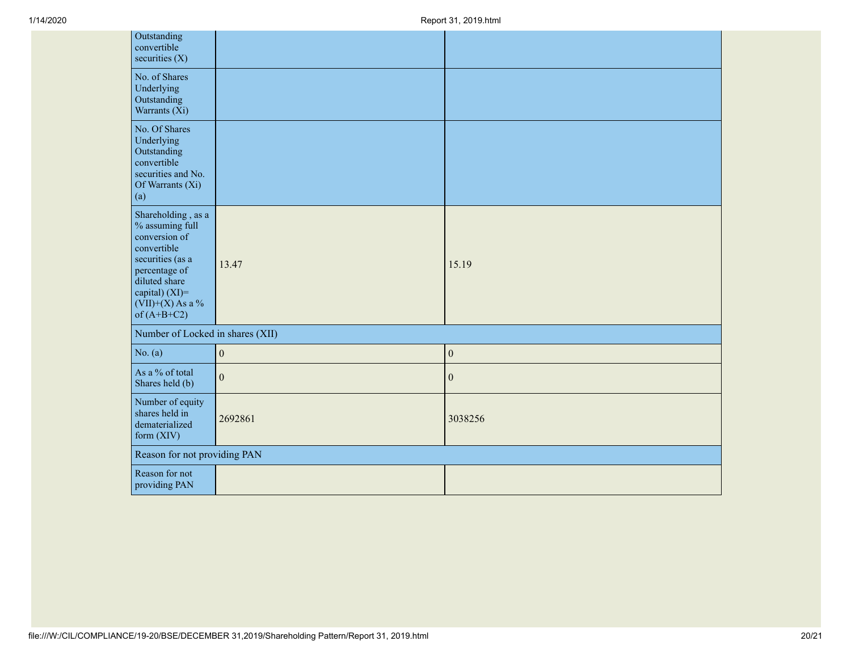| Outstanding<br>convertible<br>securities $(X)$                                                                                                                                          |                  |                  |
|-----------------------------------------------------------------------------------------------------------------------------------------------------------------------------------------|------------------|------------------|
| No. of Shares<br>Underlying<br>Outstanding<br>Warrants (Xi)                                                                                                                             |                  |                  |
| No. Of Shares<br>Underlying<br>Outstanding<br>convertible<br>securities and No.<br>Of Warrants (Xi)<br>(a)                                                                              |                  |                  |
| Shareholding, as a<br>% assuming full<br>conversion of<br>convertible<br>securities (as a<br>percentage of<br>diluted share<br>capital) $(XI)$ =<br>$(VII)+(X)$ As a %<br>of $(A+B+C2)$ | 13.47            | 15.19            |
| Number of Locked in shares (XII)                                                                                                                                                        |                  |                  |
| No. $(a)$                                                                                                                                                                               | $\boldsymbol{0}$ | $\boldsymbol{0}$ |
| As a % of total<br>Shares held (b)                                                                                                                                                      | $\mathbf{0}$     | $\boldsymbol{0}$ |
| Number of equity<br>shares held in<br>dematerialized<br>form $(XIV)$                                                                                                                    | 2692861          | 3038256          |
| Reason for not providing PAN                                                                                                                                                            |                  |                  |
| Reason for not<br>providing PAN                                                                                                                                                         |                  |                  |